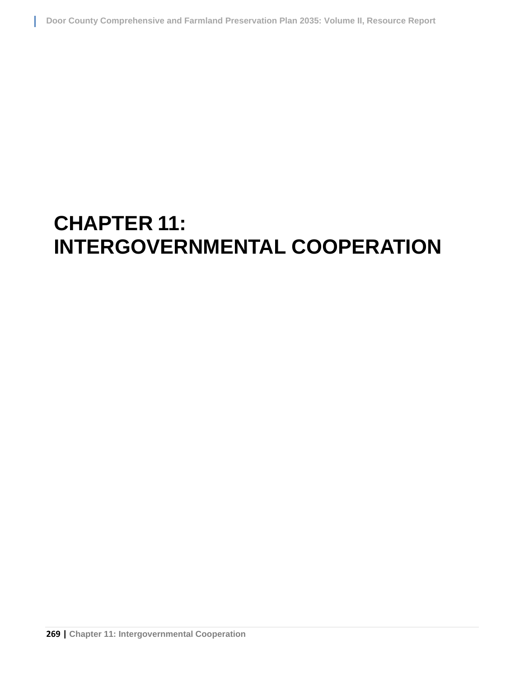# **CHAPTER 11: INTERGOVERNMENTAL COOPERATION**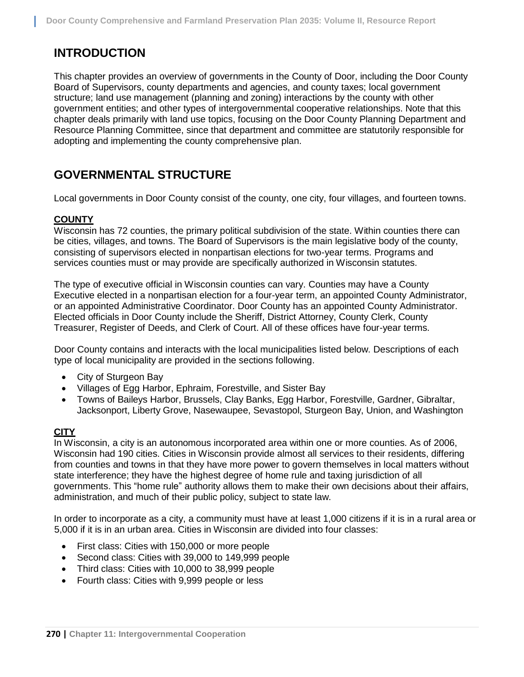# **INTRODUCTION**

This chapter provides an overview of governments in the County of Door, including the Door County Board of Supervisors, county departments and agencies, and county taxes; local government structure; land use management (planning and zoning) interactions by the county with other government entities; and other types of intergovernmental cooperative relationships. Note that this chapter deals primarily with land use topics, focusing on the Door County Planning Department and Resource Planning Committee, since that department and committee are statutorily responsible for adopting and implementing the county comprehensive plan.

## **GOVERNMENTAL STRUCTURE**

Local governments in Door County consist of the county, one city, four villages, and fourteen towns.

## **COUNTY**

Wisconsin has 72 counties, the primary political subdivision of the state. Within counties there can be cities, villages, and towns. The Board of Supervisors is the main legislative body of the county, consisting of supervisors elected in nonpartisan elections for two-year terms. Programs and services counties must or may provide are specifically authorized in Wisconsin statutes.

The type of executive official in Wisconsin counties can vary. Counties may have a County Executive elected in a nonpartisan election for a four-year term, an appointed County Administrator, or an appointed Administrative Coordinator. Door County has an appointed County Administrator. Elected officials in Door County include the Sheriff, District Attorney, County Clerk, County Treasurer, Register of Deeds, and Clerk of Court. All of these offices have four-year terms.

Door County contains and interacts with the local municipalities listed below. Descriptions of each type of local municipality are provided in the sections following.

- City of Sturgeon Bay
- Villages of Egg Harbor, Ephraim, Forestville, and Sister Bay
- Towns of Baileys Harbor, Brussels, Clay Banks, Egg Harbor, Forestville, Gardner, Gibraltar, Jacksonport, Liberty Grove, Nasewaupee, Sevastopol, Sturgeon Bay, Union, and Washington

## **CITY**

In Wisconsin, a city is an autonomous incorporated area within one or more counties. As of 2006, Wisconsin had 190 cities. Cities in Wisconsin provide almost all services to their residents, differing from counties and towns in that they have more power to govern themselves in local matters without state interference; they have the highest degree of home rule and taxing jurisdiction of all governments. This "home rule" authority allows them to make their own decisions about their affairs, administration, and much of their public policy, subject to state law.

In order to incorporate as a city, a community must have at least 1,000 citizens if it is in a rural area or 5,000 if it is in an urban area. Cities in Wisconsin are divided into four classes:

- First class: Cities with 150,000 or more people
- Second class: Cities with 39,000 to 149,999 people
- Third class: Cities with 10,000 to 38,999 people
- Fourth class: Cities with 9,999 people or less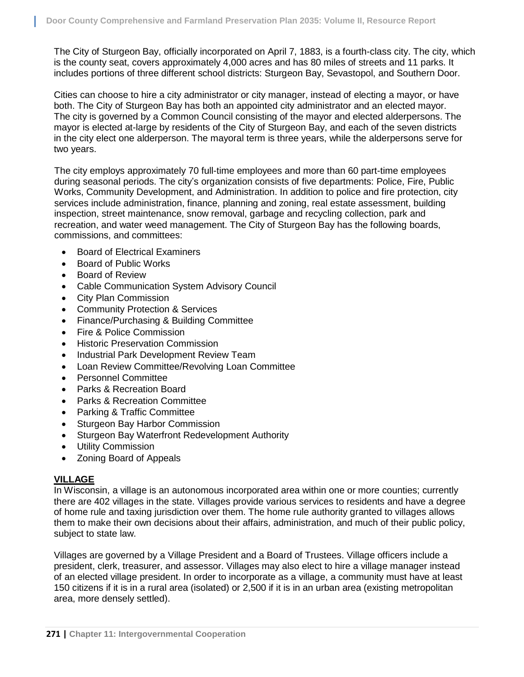The City of Sturgeon Bay, officially incorporated on April 7, 1883, is a fourth-class city. The city, which is the county seat, covers approximately 4,000 acres and has 80 miles of streets and 11 parks. It includes portions of three different school districts: Sturgeon Bay, Sevastopol, and Southern Door.

Cities can choose to hire a city administrator or city manager, instead of electing a mayor, or have both. The City of Sturgeon Bay has both an appointed city administrator and an elected mayor. The city is governed by a Common Council consisting of the mayor and elected alderpersons. The mayor is elected at-large by residents of the City of Sturgeon Bay, and each of the seven districts in the city elect one alderperson. The mayoral term is three years, while the alderpersons serve for two years.

The city employs approximately 70 full-time employees and more than 60 part-time employees during seasonal periods. The city's organization consists of five departments: Police, Fire, Public Works, Community Development, and Administration. In addition to police and fire protection, city services include administration, finance, planning and zoning, real estate assessment, building inspection, street maintenance, snow removal, garbage and recycling collection, park and recreation, and water weed management. The City of Sturgeon Bay has the following boards, commissions, and committees:

- Board of Electrical Examiners
- Board of Public Works
- Board of Review
- Cable Communication System Advisory Council
- City Plan Commission
- Community Protection & Services
- Finance/Purchasing & Building Committee
- Fire & Police Commission
- Historic Preservation Commission
- Industrial Park Development Review Team
- Loan Review Committee/Revolving Loan Committee
- Personnel Committee
- Parks & Recreation Board
- Parks & Recreation Committee
- Parking & Traffic Committee
- Sturgeon Bay Harbor Commission
- Sturgeon Bay Waterfront Redevelopment Authority
- Utility Commission
- Zoning Board of Appeals

## **VILLAGE**

In Wisconsin, a village is an autonomous incorporated area within one or more counties; currently there are 402 villages in the state. Villages provide various services to residents and have a degree of home rule and taxing jurisdiction over them. The home rule authority granted to villages allows them to make their own decisions about their affairs, administration, and much of their public policy, subject to state law.

Villages are governed by a Village President and a Board of Trustees. Village officers include a president, clerk, treasurer, and assessor. Villages may also elect to hire a village manager instead of an elected village president. In order to incorporate as a village, a community must have at least 150 citizens if it is in a rural area (isolated) or 2,500 if it is in an urban area (existing metropolitan area, more densely settled).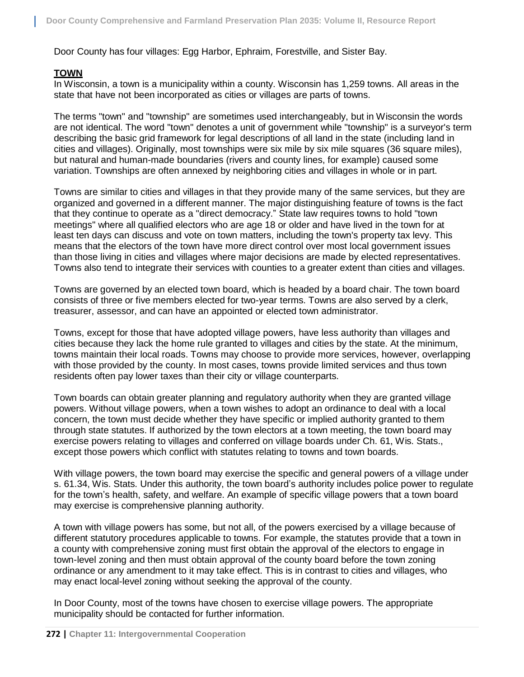Door County has four villages: Egg Harbor, Ephraim, Forestville, and Sister Bay.

#### **TOWN**

In Wisconsin, a town is a municipality within a county. Wisconsin has 1,259 towns. All areas in the state that have not been incorporated as cities or villages are parts of towns.

The terms "town" and "township" are sometimes used interchangeably, but in Wisconsin the words are not identical. The word "town" denotes a unit of government while "township" is a surveyor's term describing the basic grid framework for legal descriptions of all land in the state (including land in cities and villages). Originally, most townships were six mile by six mile squares (36 square miles), but natural and human-made boundaries (rivers and county lines, for example) caused some variation. Townships are often annexed by neighboring cities and villages in whole or in part.

Towns are similar to cities and villages in that they provide many of the same services, but they are organized and governed in a different manner. The major distinguishing feature of towns is the fact that they continue to operate as a "direct democracy." State law requires towns to hold "town meetings" where all qualified electors who are age 18 or older and have lived in the town for at least ten days can discuss and vote on town matters, including the town's property tax levy. This means that the electors of the town have more direct control over most local government issues than those living in cities and villages where major decisions are made by elected representatives. Towns also tend to integrate their services with counties to a greater extent than cities and villages.

Towns are governed by an elected town board, which is headed by a board chair. The town board consists of three or five members elected for two-year terms. Towns are also served by a clerk, treasurer, assessor, and can have an appointed or elected town administrator.

Towns, except for those that have adopted village powers, have less authority than villages and cities because they lack the home rule granted to villages and cities by the state. At the minimum, towns maintain their local roads. Towns may choose to provide more services, however, overlapping with those provided by the county. In most cases, towns provide limited services and thus town residents often pay lower taxes than their city or village counterparts.

Town boards can obtain greater planning and regulatory authority when they are granted village powers. Without village powers, when a town wishes to adopt an ordinance to deal with a local concern, the town must decide whether they have specific or implied authority granted to them through state statutes. If authorized by the town electors at a town meeting, the town board may exercise powers relating to villages and conferred on village boards under Ch. 61, Wis. Stats., except those powers which conflict with statutes relating to towns and town boards.

With village powers, the town board may exercise the specific and general powers of a village under s. 61.34, Wis. Stats. Under this authority, the town board's authority includes police power to regulate for the town's health, safety, and welfare. An example of specific village powers that a town board may exercise is comprehensive planning authority.

A town with village powers has some, but not all, of the powers exercised by a village because of different statutory procedures applicable to towns. For example, the statutes provide that a town in a county with comprehensive zoning must first obtain the approval of the electors to engage in town-level zoning and then must obtain approval of the county board before the town zoning ordinance or any amendment to it may take effect. This is in contrast to cities and villages, who may enact local-level zoning without seeking the approval of the county.

In Door County, most of the towns have chosen to exercise village powers. The appropriate municipality should be contacted for further information.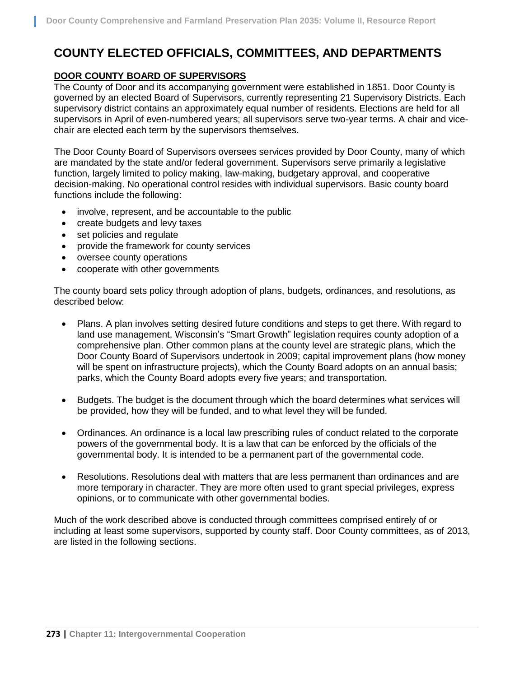# **COUNTY ELECTED OFFICIALS, COMMITTEES, AND DEPARTMENTS**

#### **DOOR COUNTY BOARD OF SUPERVISORS**

The County of Door and its accompanying government were established in 1851. Door County is governed by an elected Board of Supervisors, currently representing 21 Supervisory Districts. Each supervisory district contains an approximately equal number of residents. Elections are held for all supervisors in April of even-numbered years; all supervisors serve two-year terms. A chair and vicechair are elected each term by the supervisors themselves.

The Door County Board of Supervisors oversees services provided by Door County, many of which are mandated by the state and/or federal government. Supervisors serve primarily a legislative function, largely limited to policy making, law-making, budgetary approval, and cooperative decision-making. No operational control resides with individual supervisors. Basic county board functions include the following:

- involve, represent, and be accountable to the public
- create budgets and levy taxes
- set policies and regulate
- provide the framework for county services
- oversee county operations
- cooperate with other governments

The county board sets policy through adoption of plans, budgets, ordinances, and resolutions, as described below:

- Plans. A plan involves setting desired future conditions and steps to get there. With regard to land use management, Wisconsin's "Smart Growth" legislation requires county adoption of a comprehensive plan. Other common plans at the county level are strategic plans, which the Door County Board of Supervisors undertook in 2009; capital improvement plans (how money will be spent on infrastructure projects), which the County Board adopts on an annual basis; parks, which the County Board adopts every five years; and transportation.
- Budgets. The budget is the document through which the board determines what services will be provided, how they will be funded, and to what level they will be funded.
- Ordinances. An ordinance is a local law prescribing rules of conduct related to the corporate powers of the governmental body. It is a law that can be enforced by the officials of the governmental body. It is intended to be a permanent part of the governmental code.
- Resolutions. Resolutions deal with matters that are less permanent than ordinances and are more temporary in character. They are more often used to grant special privileges, express opinions, or to communicate with other governmental bodies.

Much of the work described above is conducted through committees comprised entirely of or including at least some supervisors, supported by county staff. Door County committees, as of 2013, are listed in the following sections.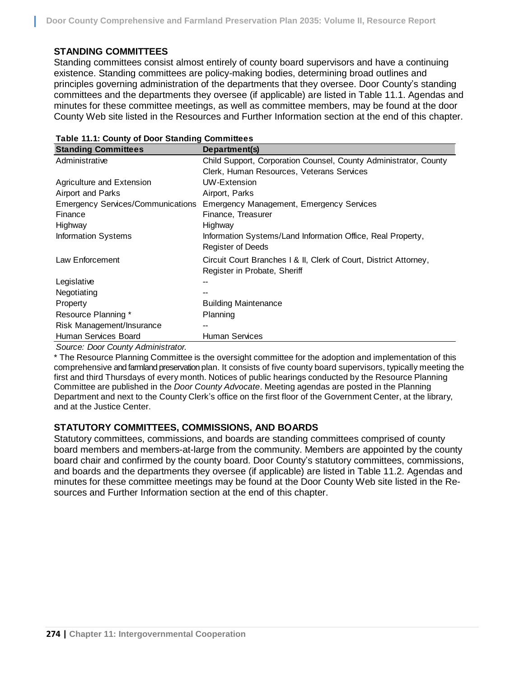#### **STANDING COMMITTEES**

Standing committees consist almost entirely of county board supervisors and have a continuing existence. Standing committees are policy-making bodies, determining broad outlines and principles governing administration of the departments that they oversee. Door County's standing committees and the departments they oversee (if applicable) are listed in Table 11.1. Agendas and minutes for these committee meetings, as well as committee members, may be found at the door County Web site listed in the Resources and Further Information section at the end of this chapter.

| Child Support, Corporation Counsel, County Administrator, County  |
|-------------------------------------------------------------------|
| Clerk, Human Resources, Veterans Services                         |
|                                                                   |
|                                                                   |
| Emergency Management, Emergency Services                          |
|                                                                   |
|                                                                   |
| Information Systems/Land Information Office, Real Property,       |
|                                                                   |
| Circuit Court Branches   & II, Clerk of Court, District Attorney, |
|                                                                   |
|                                                                   |
|                                                                   |
|                                                                   |
|                                                                   |
|                                                                   |
|                                                                   |
|                                                                   |

|  | Table 11.1: County of Door Standing Committees |  |
|--|------------------------------------------------|--|
|--|------------------------------------------------|--|

*Source: Door County Administrator.* 

\* The Resource Planning Committee is the oversight committee for the adoption and implementation of this comprehensive and farmland preservation plan. It consists of five county board supervisors, typically meeting the first and third Thursdays of every month. Notices of public hearings conducted by the Resource Planning Committee are published in the *Door County Advocate*. Meeting agendas are posted in the Planning Department and next to the County Clerk's office on the first floor of the Government Center, at the library, and at the Justice Center.

#### **STATUTORY COMMITTEES, COMMISSIONS, AND BOARDS**

Statutory committees, commissions, and boards are standing committees comprised of county board members and members-at-large from the community. Members are appointed by the county board chair and confirmed by the county board. Door County's statutory committees, commissions, and boards and the departments they oversee (if applicable) are listed in Table 11.2. Agendas and minutes for these committee meetings may be found at the Door County Web site listed in the Resources and Further Information section at the end of this chapter.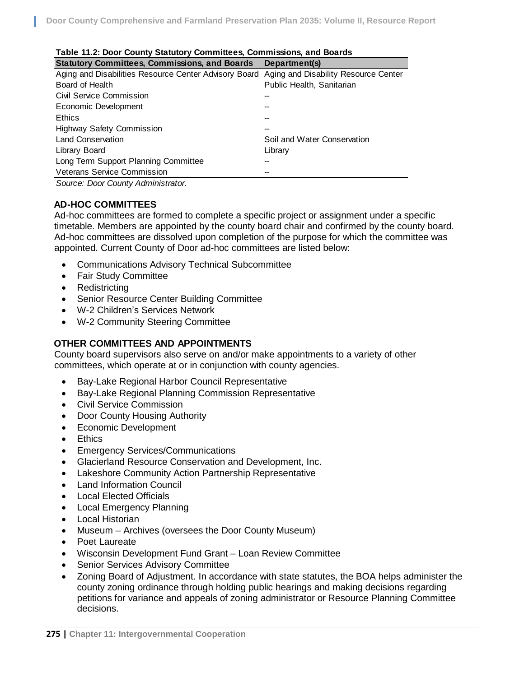| Table 11.2: Door County Statutory Committees, Commissions, and Boards                      |                             |
|--------------------------------------------------------------------------------------------|-----------------------------|
| <b>Statutory Committees, Commissions, and Boards</b>                                       | Department(s)               |
| Aging and Disabilities Resource Center Advisory Board Aging and Disability Resource Center |                             |
| Board of Health                                                                            | Public Health, Sanitarian   |
| Civil Service Commission                                                                   |                             |
| Economic Development                                                                       |                             |
| <b>Ethics</b>                                                                              |                             |
| <b>Highway Safety Commission</b>                                                           | --                          |
| <b>Land Conservation</b>                                                                   | Soil and Water Conservation |
| Library Board                                                                              | Library                     |
| Long Term Support Planning Committee                                                       |                             |
| <b>Veterans Service Commission</b>                                                         | --                          |
| Source: Door County Administrator.                                                         |                             |

#### **Table 11.2: Door County Statutory Committees, Commissions, and Boards**

**AD-HOC COMMITTEES**

Ad-hoc committees are formed to complete a specific project or assignment under a specific timetable. Members are appointed by the county board chair and confirmed by the county board. Ad-hoc committees are dissolved upon completion of the purpose for which the committee was appointed. Current County of Door ad-hoc committees are listed below:

- Communications Advisory Technical Subcommittee
- Fair Study Committee
- Redistricting
- **Senior Resource Center Building Committee**
- W-2 Children's Services Network
- W-2 Community Steering Committee

#### **OTHER COMMITTEES AND APPOINTMENTS**

County board supervisors also serve on and/or make appointments to a variety of other committees, which operate at or in conjunction with county agencies.

- Bay-Lake Regional Harbor Council Representative
- Bay-Lake Regional Planning Commission Representative
- Civil Service Commission
- Door County Housing Authority
- Economic Development
- Ethics
- Emergency Services/Communications
- Glacierland Resource Conservation and Development, Inc.
- Lakeshore Community Action Partnership Representative
- Land Information Council
- Local Elected Officials
- Local Emergency Planning
- Local Historian
- Museum Archives (oversees the Door County Museum)
- Poet Laureate
- Wisconsin Development Fund Grant Loan Review Committee
- **•** Senior Services Advisory Committee
- Zoning Board of Adjustment. In accordance with state statutes, the BOA helps administer the county zoning ordinance through holding public hearings and making decisions regarding petitions for variance and appeals of zoning administrator or Resource Planning Committee decisions.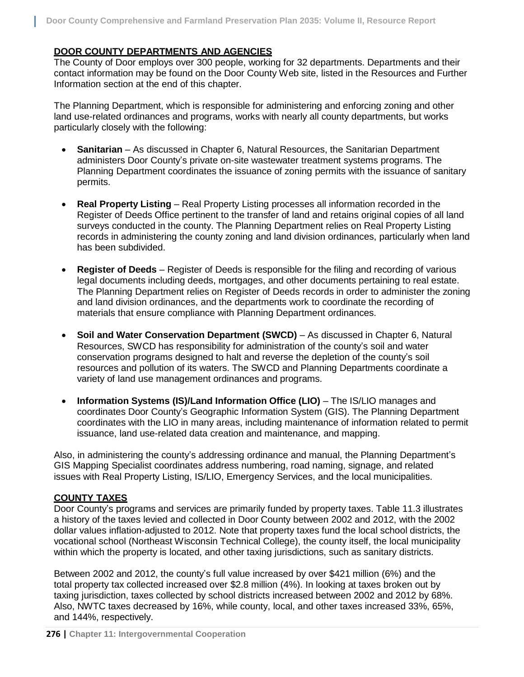#### **DOOR COUNTY DEPARTMENTS AND AGENCIES**

The County of Door employs over 300 people, working for 32 departments. Departments and their contact information may be found on the Door County Web site, listed in the Resources and Further Information section at the end of this chapter.

The Planning Department, which is responsible for administering and enforcing zoning and other land use-related ordinances and programs, works with nearly all county departments, but works particularly closely with the following:

- **Sanitarian** As discussed in Chapter 6, Natural Resources, the Sanitarian Department administers Door County's private on-site wastewater treatment systems programs. The Planning Department coordinates the issuance of zoning permits with the issuance of sanitary permits.
- **Real Property Listing** Real Property Listing processes all information recorded in the Register of Deeds Office pertinent to the transfer of land and retains original copies of all land surveys conducted in the county. The Planning Department relies on Real Property Listing records in administering the county zoning and land division ordinances, particularly when land has been subdivided.
- **Register of Deeds** Register of Deeds is responsible for the filing and recording of various legal documents including deeds, mortgages, and other documents pertaining to real estate. The Planning Department relies on Register of Deeds records in order to administer the zoning and land division ordinances, and the departments work to coordinate the recording of materials that ensure compliance with Planning Department ordinances.
- **Soil and Water Conservation Department (SWCD)**  As discussed in Chapter 6, Natural Resources, SWCD has responsibility for administration of the county's soil and water conservation programs designed to halt and reverse the depletion of the county's soil resources and pollution of its waters. The SWCD and Planning Departments coordinate a variety of land use management ordinances and programs.
- **Information Systems (IS)/Land Information Office (LIO)** The IS/LIO manages and coordinates Door County's Geographic Information System (GIS). The Planning Department coordinates with the LIO in many areas, including maintenance of information related to permit issuance, land use-related data creation and maintenance, and mapping.

Also, in administering the county's addressing ordinance and manual, the Planning Department's GIS Mapping Specialist coordinates address numbering, road naming, signage, and related issues with Real Property Listing, IS/LIO, Emergency Services, and the local municipalities.

## **COUNTY TAXES**

Door County's programs and services are primarily funded by property taxes. Table 11.3 illustrates a history of the taxes levied and collected in Door County between 2002 and 2012, with the 2002 dollar values inflation-adjusted to 2012. Note that property taxes fund the local school districts, the vocational school (Northeast Wisconsin Technical College), the county itself, the local municipality within which the property is located, and other taxing jurisdictions, such as sanitary districts.

Between 2002 and 2012, the county's full value increased by over \$421 million (6%) and the total property tax collected increased over \$2.8 million (4%). In looking at taxes broken out by taxing jurisdiction, taxes collected by school districts increased between 2002 and 2012 by 68%. Also, NWTC taxes decreased by 16%, while county, local, and other taxes increased 33%, 65%, and 144%, respectively.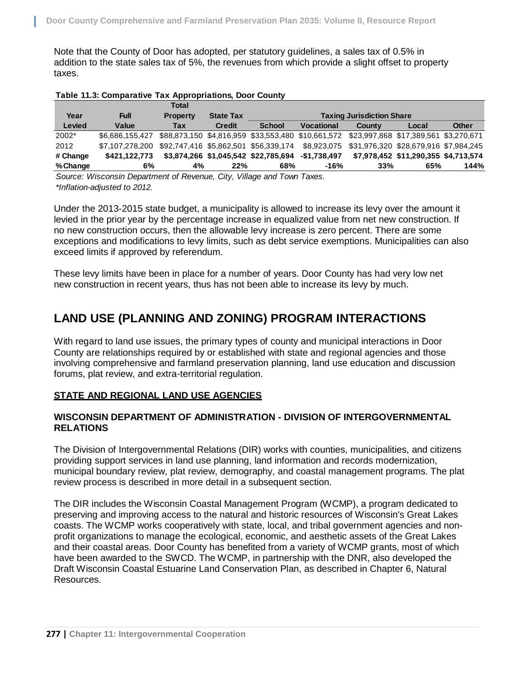Note that the County of Door has adopted, per statutory guidelines, a sales tax of 0.5% in addition to the state sales tax of 5%, the revenues from which provide a slight offset to property taxes.

| Table 11.3: Comparative Tax Appropriations, Door County |  |  |
|---------------------------------------------------------|--|--|
|                                                         |  |  |

|          |                                                                                                         | <b>Total</b>    |                  |               |                                                                                          |                                  |                                      |              |
|----------|---------------------------------------------------------------------------------------------------------|-----------------|------------------|---------------|------------------------------------------------------------------------------------------|----------------------------------|--------------------------------------|--------------|
| Year     | <b>Full</b>                                                                                             | <b>Property</b> | <b>State Tax</b> |               |                                                                                          | <b>Taxing Jurisdiction Share</b> |                                      |              |
| Levied   | Value                                                                                                   | Tax             | <b>Credit</b>    | <b>School</b> | <b>Vocational</b>                                                                        | County                           | Local                                | <b>Other</b> |
| 2002*    | \$6.686.155.427                                                                                         |                 |                  |               | \$88,873,150 \$4,816,959 \$33,553,480 \$10,661,572 \$23,997,868 \$17,389,561 \$3,270,671 |                                  |                                      |              |
| 2012     | \$7,107,278,200 \$92,747,416 \$5,862,501 \$56,339,174 \$8,923,075 \$31,976,320 \$28,679,916 \$7,984,245 |                 |                  |               |                                                                                          |                                  |                                      |              |
| # Change | \$421.122.773                                                                                           |                 |                  |               | \$3,874,266 \$1,045,542 \$22,785,694 -\$1,738,497                                        |                                  | \$7,978,452 \$11,290,355 \$4,713,574 |              |
| % Change | 6%                                                                                                      | 4%              | 22%              | 68%           | $-16%$                                                                                   | 33%                              | 65%                                  | 144%         |
|          | Source: Wisconsin Department of Revenue, City, Village and Town Taxes.                                  |                 |                  |               |                                                                                          |                                  |                                      |              |

*Source: Wisconsin Department of Revenue, City, Village and Town Taxes. \*Inflation-adjusted to 2012.*

Under the 2013-2015 state budget, a municipality is allowed to increase its levy over the amount it levied in the prior year by the percentage increase in equalized value from net new construction. If no new construction occurs, then the allowable levy increase is zero percent. There are some exceptions and modifications to levy limits, such as debt service exemptions. Municipalities can also exceed limits if approved by referendum.

These levy limits have been in place for a number of years. Door County has had very low net new construction in recent years, thus has not been able to increase its levy by much.

# **LAND USE (PLANNING AND ZONING) PROGRAM INTERACTIONS**

With regard to land use issues, the primary types of county and municipal interactions in Door County are relationships required by or established with state and regional agencies and those involving comprehensive and farmland preservation planning, land use education and discussion forums, plat review, and extra-territorial regulation.

#### **STATE AND REGIONAL LAND USE AGENCIES**

#### **WISCONSIN DEPARTMENT OF ADMINISTRATION - DIVISION OF INTERGOVERNMENTAL RELATIONS**

The Division of Intergovernmental Relations (DIR) works with counties, municipalities, and citizens providing support services in land use planning, land information and records modernization, municipal boundary review, plat review, demography, and coastal management programs. The plat review process is described in more detail in a subsequent section.

The DIR includes the Wisconsin Coastal Management Program (WCMP), a program dedicated to preserving and improving access to the natural and historic resources of Wisconsin's Great Lakes coasts. The WCMP works cooperatively with state, local, and tribal government agencies and nonprofit organizations to manage the ecological, economic, and aesthetic assets of the Great Lakes and their coastal areas. Door County has benefited from a variety of WCMP grants, most of which have been awarded to the SWCD. The WCMP, in partnership with the DNR, also developed the Draft Wisconsin Coastal Estuarine Land Conservation Plan, as described in Chapter 6, Natural Resources.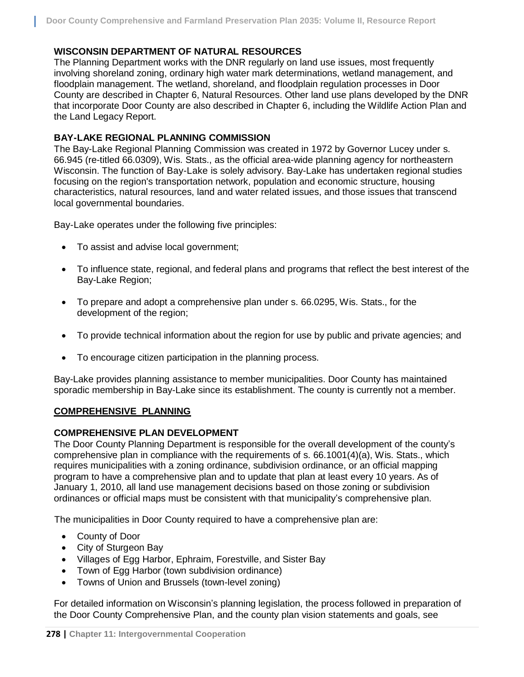#### **WISCONSIN DEPARTMENT OF NATURAL RESOURCES**

The Planning Department works with the DNR regularly on land use issues, most frequently involving shoreland zoning, ordinary high water mark determinations, wetland management, and floodplain management. The wetland, shoreland, and floodplain regulation processes in Door County are described in Chapter 6, Natural Resources. Other land use plans developed by the DNR that incorporate Door County are also described in Chapter 6, including the Wildlife Action Plan and the Land Legacy Report.

### **BAY-LAKE REGIONAL PLANNING COMMISSION**

The Bay-Lake Regional Planning Commission was created in 1972 by Governor Lucey under s. 66.945 (re-titled 66.0309), Wis. Stats., as the official area-wide planning agency for northeastern Wisconsin. The function of Bay-Lake is solely advisory. Bay-Lake has undertaken regional studies focusing on the region's transportation network, population and economic structure, housing characteristics, natural resources, land and water related issues, and those issues that transcend local governmental boundaries.

Bay-Lake operates under the following five principles:

- To assist and advise local government;
- To influence state, regional, and federal plans and programs that reflect the best interest of the Bay-Lake Region;
- To prepare and adopt a comprehensive plan under s. 66.0295, Wis. Stats., for the development of the region;
- To provide technical information about the region for use by public and private agencies; and
- To encourage citizen participation in the planning process.

Bay-Lake provides planning assistance to member municipalities. Door County has maintained sporadic membership in Bay-Lake since its establishment. The county is currently not a member.

#### **COMPREHENSIVE PLANNING**

#### **COMPREHENSIVE PLAN DEVELOPMENT**

The Door County Planning Department is responsible for the overall development of the county's comprehensive plan in compliance with the requirements of s. 66.1001(4)(a), Wis. Stats., which requires municipalities with a zoning ordinance, subdivision ordinance, or an official mapping program to have a comprehensive plan and to update that plan at least every 10 years. As of January 1, 2010, all land use management decisions based on those zoning or subdivision ordinances or official maps must be consistent with that municipality's comprehensive plan.

The municipalities in Door County required to have a comprehensive plan are:

- County of Door
- City of Sturgeon Bay
- Villages of Egg Harbor, Ephraim, Forestville, and Sister Bay
- Town of Egg Harbor (town subdivision ordinance)
- Towns of Union and Brussels (town-level zoning)

For detailed information on Wisconsin's planning legislation, the process followed in preparation of the Door County Comprehensive Plan, and the county plan vision statements and goals, see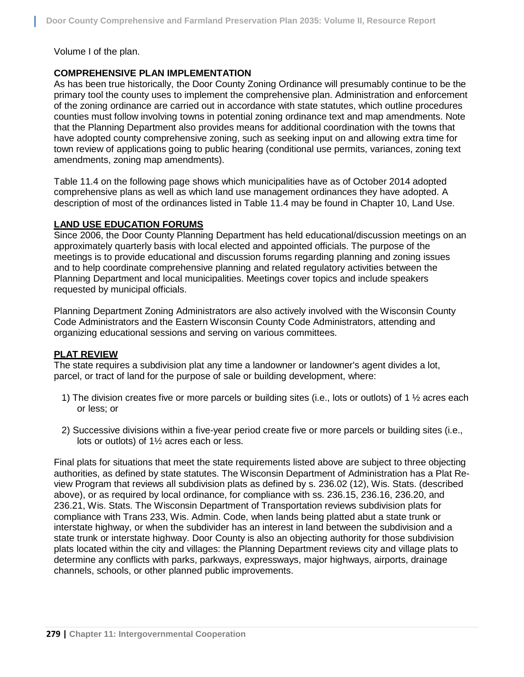Volume I of the plan.

### **COMPREHENSIVE PLAN IMPLEMENTATION**

As has been true historically, the Door County Zoning Ordinance will presumably continue to be the primary tool the county uses to implement the comprehensive plan. Administration and enforcement of the zoning ordinance are carried out in accordance with state statutes, which outline procedures counties must follow involving towns in potential zoning ordinance text and map amendments. Note that the Planning Department also provides means for additional coordination with the towns that have adopted county comprehensive zoning, such as seeking input on and allowing extra time for town review of applications going to public hearing (conditional use permits, variances, zoning text amendments, zoning map amendments).

Table 11.4 on the following page shows which municipalities have as of October 2014 adopted comprehensive plans as well as which land use management ordinances they have adopted. A description of most of the ordinances listed in Table 11.4 may be found in Chapter 10, Land Use.

#### **LAND USE EDUCATION FORUMS**

Since 2006, the Door County Planning Department has held educational/discussion meetings on an approximately quarterly basis with local elected and appointed officials. The purpose of the meetings is to provide educational and discussion forums regarding planning and zoning issues and to help coordinate comprehensive planning and related regulatory activities between the Planning Department and local municipalities. Meetings cover topics and include speakers requested by municipal officials.

Planning Department Zoning Administrators are also actively involved with the Wisconsin County Code Administrators and the Eastern Wisconsin County Code Administrators, attending and organizing educational sessions and serving on various committees.

#### **PLAT REVIEW**

The state requires a subdivision plat any time a landowner or landowner's agent divides a lot, parcel, or tract of land for the purpose of sale or building development, where:

- 1) The division creates five or more parcels or building sites (i.e., lots or outlots) of 1  $\frac{1}{2}$  acres each or less; or
- 2) Successive divisions within a five-year period create five or more parcels or building sites (i.e., lots or outlots) of 1½ acres each or less.

Final plats for situations that meet the state requirements listed above are subject to three objecting authorities, as defined by state statutes. The Wisconsin Department of Administration has a Plat Review Program that reviews all subdivision plats as defined by s. 236.02 (12), Wis. Stats. (described above), or as required by local ordinance, for compliance with ss. 236.15, 236.16, 236.20, and 236.21, Wis. Stats. The Wisconsin Department of Transportation reviews subdivision plats for compliance with Trans 233, Wis. Admin. Code, when lands being platted abut a state trunk or interstate highway, or when the subdivider has an interest in land between the subdivision and a state trunk or interstate highway. Door County is also an objecting authority for those subdivision plats located within the city and villages: the Planning Department reviews city and village plats to determine any conflicts with parks, parkways, expressways, major highways, airports, drainage channels, schools, or other planned public improvements.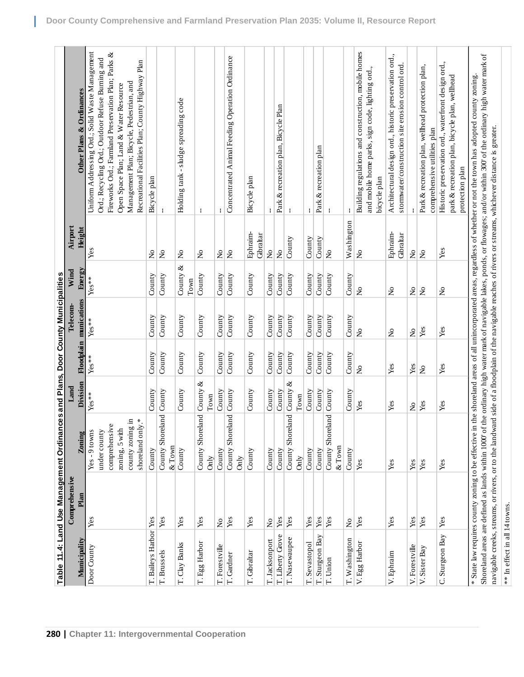|                               |                                     | Table 11.4: Land Use Management Ordinances and Plans, Door County Municipalities |                                |                           |                                |                           |                           |                                                                                                                                                                                                                                                                                                                                                            |  |
|-------------------------------|-------------------------------------|----------------------------------------------------------------------------------|--------------------------------|---------------------------|--------------------------------|---------------------------|---------------------------|------------------------------------------------------------------------------------------------------------------------------------------------------------------------------------------------------------------------------------------------------------------------------------------------------------------------------------------------------------|--|
|                               | Comprehensive                       |                                                                                  |                                |                           | Telecom                        | Wind                      | Airport                   |                                                                                                                                                                                                                                                                                                                                                            |  |
| Municipality                  | Plan                                | Zoning                                                                           | Division                       |                           | Floodplain munications         | Energy                    | Height                    | Other Plans & Ordinances                                                                                                                                                                                                                                                                                                                                   |  |
| Door County                   | Yes                                 | $Yes - 9 towns$                                                                  | $Yes**$                        | $Yes**$                   | $Yes**$                        | $Yes**$                   | Yes                       | Uniform Addressing Ord.; Solid Waste Management                                                                                                                                                                                                                                                                                                            |  |
|                               |                                     | under county                                                                     |                                |                           |                                |                           |                           | Ord.; Recycling Ord.; Outdoor Refuse Burning and                                                                                                                                                                                                                                                                                                           |  |
|                               |                                     | $\mathbb O$<br>comprehensiv                                                      |                                |                           |                                |                           |                           | Fireworks Ord.; Farmland Preservation Plan; Parks &                                                                                                                                                                                                                                                                                                        |  |
|                               |                                     |                                                                                  |                                |                           |                                |                           |                           |                                                                                                                                                                                                                                                                                                                                                            |  |
|                               |                                     | zoning, 5 with                                                                   |                                |                           |                                |                           |                           | Open Space Plan; Land & Water Resource                                                                                                                                                                                                                                                                                                                     |  |
|                               |                                     | county zoning in                                                                 |                                |                           |                                |                           |                           | Management Plan; Bicycle, Pedestrian, and                                                                                                                                                                                                                                                                                                                  |  |
|                               |                                     | shoreland only.*                                                                 |                                |                           |                                |                           |                           | Recreational Facilities Plan; County Highway Plan                                                                                                                                                                                                                                                                                                          |  |
| T. Baileys Harbor Yes         |                                     | County                                                                           | County                         | County                    | County                         | County                    | $\mathsf{S}^{\mathsf{O}}$ | Bicycle plan                                                                                                                                                                                                                                                                                                                                               |  |
| T. Brussels                   | Yes                                 | land<br>County Shore                                                             | County                         | County                    | County                         | County                    | $\tilde{z}$               |                                                                                                                                                                                                                                                                                                                                                            |  |
|                               |                                     | $&$ Town                                                                         |                                |                           |                                |                           |                           |                                                                                                                                                                                                                                                                                                                                                            |  |
| T. Clay Banks                 | Yes                                 | County                                                                           | County                         | County                    | County                         | County &                  | $\tilde{z}$               | Holding tank - sludge spreading code                                                                                                                                                                                                                                                                                                                       |  |
|                               |                                     |                                                                                  |                                |                           |                                | $_{\rm Town}$             |                           |                                                                                                                                                                                                                                                                                                                                                            |  |
| T. Egg Harbor                 | Yes                                 | County Shoreland                                                                 | ∛<br>County                    | County                    | County                         | County                    | $\mathsf{S}^{\mathsf{O}}$ | ÷                                                                                                                                                                                                                                                                                                                                                          |  |
|                               |                                     | Önly                                                                             | Town                           |                           |                                |                           |                           |                                                                                                                                                                                                                                                                                                                                                            |  |
| T. Forestville                | $\mathsf{S}^{\mathsf{o}}$           | County                                                                           | County                         | County                    | County                         | County                    | ż                         |                                                                                                                                                                                                                                                                                                                                                            |  |
| T. Gardner                    | $\mathbf{Yes}$                      | County Shoreland                                                                 | County                         | County                    | County                         | County                    | $\mathsf{S}^{\mathsf{o}}$ | Concentrated Animal Feeding Operation Ordinance                                                                                                                                                                                                                                                                                                            |  |
|                               |                                     | Önly                                                                             |                                |                           |                                |                           |                           |                                                                                                                                                                                                                                                                                                                                                            |  |
| T. Gibraltar                  | Yes                                 | County                                                                           | $\mathop{\rm County}\nolimits$ | County                    | $\mathop{\rm County}\nolimits$ | County                    | Ephraim-<br>Gibraltar     | Bicycle plan                                                                                                                                                                                                                                                                                                                                               |  |
| T. Jacksonport                | $\mathsf{S}^{\mathsf{o}}$           | County                                                                           | County                         | County                    | County                         | County                    | $\mathsf{S}^{\mathsf{O}}$ |                                                                                                                                                                                                                                                                                                                                                            |  |
| T. Liberty Grove              | Yes                                 | County                                                                           | County                         | County                    | County                         | County                    | ż                         | Park & recreation plan, Bicycle Plan                                                                                                                                                                                                                                                                                                                       |  |
|                               | Yes                                 |                                                                                  | ళ<br>County                    | County                    | County                         |                           | County                    |                                                                                                                                                                                                                                                                                                                                                            |  |
| T. Nasewaupee                 |                                     | County Shoreland<br>Only                                                         | Town                           |                           |                                | County                    |                           |                                                                                                                                                                                                                                                                                                                                                            |  |
| T. Sevastopol                 | Yes                                 | County                                                                           | County                         | County                    | County                         | County                    | County                    |                                                                                                                                                                                                                                                                                                                                                            |  |
| T. Sturgeon Bay               | Yes                                 | County                                                                           | County                         | County                    | County                         | County                    | County                    | Park & recreation plan                                                                                                                                                                                                                                                                                                                                     |  |
|                               |                                     |                                                                                  |                                |                           |                                |                           |                           |                                                                                                                                                                                                                                                                                                                                                            |  |
| T. Union                      | Yes                                 | land<br>County Shore<br>& Town                                                   | County                         | County                    | County                         | County                    | $\tilde{z}$               |                                                                                                                                                                                                                                                                                                                                                            |  |
| T. Washington                 | $\stackrel{\mathtt{o}}{\mathsf{x}}$ | County                                                                           | County                         | County                    | County                         | County                    | Washington                |                                                                                                                                                                                                                                                                                                                                                            |  |
| V. Egg Harbor                 | Yes                                 | Yes                                                                              | Yes                            | $\mathsf{S}^{\mathsf{o}}$ | $\tilde{z}$                    | $\tilde{z}$               | $\tilde{z}$               | Building regulations and construction, mobile homes<br>and mobile home parks, sign code, lighting ord.,                                                                                                                                                                                                                                                    |  |
|                               |                                     |                                                                                  |                                |                           |                                |                           |                           | bicycle plan                                                                                                                                                                                                                                                                                                                                               |  |
| V. Ephraim                    | Yes                                 | Yes                                                                              | Yes                            | Yes                       | $\mathsf{S}^{\mathsf{O}}$      | $\mathsf{S}^{\mathsf{O}}$ | Ephraim-<br>Gibraltar     | Architectural design ord., historic preservation ord<br>stormwater/construction site erosion control ord.                                                                                                                                                                                                                                                  |  |
| V. Forestville                | Yes                                 | Yes                                                                              | $\tilde{z}$                    | Yes                       | $\mathsf{S}$                   | $\mathsf{S}$              | $\mathsf{S}^{\mathsf{O}}$ |                                                                                                                                                                                                                                                                                                                                                            |  |
| V. Sister Bay                 | Yes                                 | Yes                                                                              | Yes                            | $\tilde{\mathbf{z}}$      | Yes                            | ż                         | $\tilde{z}$               | Park & recreation plan, wellhead protection plan,<br>comprehensive utilities plan                                                                                                                                                                                                                                                                          |  |
|                               |                                     |                                                                                  |                                |                           |                                |                           |                           |                                                                                                                                                                                                                                                                                                                                                            |  |
| C. Sturgeon Bay               | Yes                                 | Yes                                                                              | Yes                            | Yes                       | Yes                            | ż                         | Yes                       | Historic preservation ord., waterfront design ord.,<br>park & recreation plan, bicycle plan, wellhead<br>protection plan                                                                                                                                                                                                                                   |  |
|                               |                                     |                                                                                  |                                |                           |                                |                           |                           |                                                                                                                                                                                                                                                                                                                                                            |  |
|                               |                                     |                                                                                  |                                |                           |                                |                           |                           | Shoreland areas are defined as lands within 1000' of the ordinary high water mark of navigable lakes, ponds, or flowages; and/or within 300' of the ordinary high water mark of<br>* State law requires county zoning to be effective in the shoreland areas of all unincorporated areas, regardless of whether or not the town has adopted county zoning. |  |
|                               |                                     |                                                                                  |                                |                           |                                |                           |                           | navigable creeks, streams, or rivers, or to the landward side of a floodplain of the navigable reaches of rivers or streams, whichever distance is greater.                                                                                                                                                                                                |  |
| ** In effect in all 14 towns. |                                     |                                                                                  |                                |                           |                                |                           |                           |                                                                                                                                                                                                                                                                                                                                                            |  |

L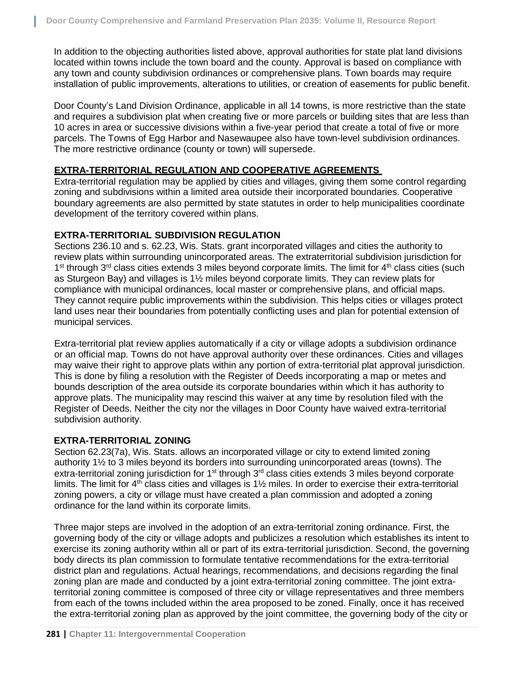In addition to the objecting authorities listed above, approval authorities for state plat land divisions located within towns include the town board and the county. Approval is based on compliance with any town and county subdivision ordinances or comprehensive plans. Town boards may require installation of public improvements, alterations to utilities, or creation of easements for public benefit.

Door County's Land Division Ordinance, applicable in all 14 towns, is more restrictive than the state and requires a subdivision plat when creating five or more parcels or building sites that are less than 10 acres in area or successive divisions within a five-year period that create a total of five or more parcels. The Towns of Egg Harbor and Nasewaupee also have town-level subdivision ordinances. The more restrictive ordinance (county or town) will supersede.

#### **EXTRA-TERRITORIAL REGULATION AND COOPERATIVE AGREEMENTS**

Extra-territorial regulation may be applied by cities and villages, giving them some control regarding zoning and subdivisions within a limited area outside their incorporated boundaries. Cooperative boundary agreements are also permitted by state statutes in order to help municipalities coordinate development of the territory covered within plans.

#### **EXTRA-TERRITORIAL SUBDIVISION REGULATION**

Sections 236.10 and s. 62.23, Wis. Stats. grant incorporated villages and cities the authority to review plats within surrounding unincorporated areas. The extraterritorial subdivision jurisdiction for 1<sup>st</sup> through 3<sup>rd</sup> class cities extends 3 miles beyond corporate limits. The limit for 4<sup>th</sup> class cities (such as Sturgeon Bay) and villages is 1½ miles beyond corporate limits. They can review plats for compliance with municipal ordinances, local master or comprehensive plans, and official maps. They cannot require public improvements within the subdivision. This helps cities or villages protect land uses near their boundaries from potentially conflicting uses and plan for potential extension of municipal services.

Extra-territorial plat review applies automatically if a city or village adopts a subdivision ordinance or an official map. Towns do not have approval authority over these ordinances. Cities and villages may waive their right to approve plats within any portion of extra-territorial plat approval jurisdiction. This is done by filing a resolution with the Register of Deeds incorporating a map or metes and bounds description of the area outside its corporate boundaries within which it has authority to approve plats. The municipality may rescind this waiver at any time by resolution filed with the Register of Deeds. Neither the city nor the villages in Door County have waived extra-territorial subdivision authority.

#### **EXTRA-TERRITORIAL ZONING**

Section 62.23(7a), Wis. Stats. allows an incorporated village or city to extend limited zoning authority 1½ to 3 miles beyond its borders into surrounding unincorporated areas (towns). The extra-territorial zoning jurisdiction for 1<sup>st</sup> through 3<sup>rd</sup> class cities extends 3 miles beyond corporate limits. The limit for  $4<sup>th</sup>$  class cities and villages is  $1\frac{1}{2}$  miles. In order to exercise their extra-territorial zoning powers, a city or village must have created a plan commission and adopted a zoning ordinance for the land within its corporate limits.

Three major steps are involved in the adoption of an extra-territorial zoning ordinance. First, the governing body of the city or village adopts and publicizes a resolution which establishes its intent to exercise its zoning authority within all or part of its extra-territorial jurisdiction. Second, the governing body directs its plan commission to formulate tentative recommendations for the extra-territorial district plan and regulations. Actual hearings, recommendations, and decisions regarding the final zoning plan are made and conducted by a joint extra-territorial zoning committee. The joint extraterritorial zoning committee is composed of three city or village representatives and three members from each of the towns included within the area proposed to be zoned. Finally, once it has received the extra-territorial zoning plan as approved by the joint committee, the governing body of the city or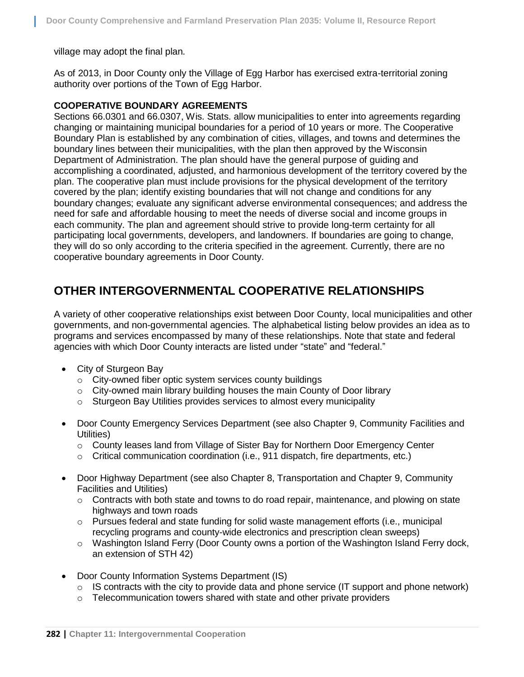village may adopt the final plan.

As of 2013, in Door County only the Village of Egg Harbor has exercised extra-territorial zoning authority over portions of the Town of Egg Harbor.

#### **COOPERATIVE BOUNDARY AGREEMENTS**

Sections 66.0301 and 66.0307, Wis. Stats. allow municipalities to enter into agreements regarding changing or maintaining municipal boundaries for a period of 10 years or more. The Cooperative Boundary Plan is established by any combination of cities, villages, and towns and determines the boundary lines between their municipalities, with the plan then approved by the Wisconsin Department of Administration. The plan should have the general purpose of guiding and accomplishing a coordinated, adjusted, and harmonious development of the territory covered by the plan. The cooperative plan must include provisions for the physical development of the territory covered by the plan; identify existing boundaries that will not change and conditions for any boundary changes; evaluate any significant adverse environmental consequences; and address the need for safe and affordable housing to meet the needs of diverse social and income groups in each community. The plan and agreement should strive to provide long-term certainty for all participating local governments, developers, and landowners. If boundaries are going to change, they will do so only according to the criteria specified in the agreement. Currently, there are no cooperative boundary agreements in Door County.

## **OTHER INTERGOVERNMENTAL COOPERATIVE RELATIONSHIPS**

A variety of other cooperative relationships exist between Door County, local municipalities and other governments, and non-governmental agencies. The alphabetical listing below provides an idea as to programs and services encompassed by many of these relationships. Note that state and federal agencies with which Door County interacts are listed under "state" and "federal."

- City of Sturgeon Bay
	- o City-owned fiber optic system services county buildings
	- o City-owned main library building houses the main County of Door library
	- o Sturgeon Bay Utilities provides services to almost every municipality
- Door County Emergency Services Department (see also Chapter 9, Community Facilities and Utilities)
	- o County leases land from Village of Sister Bay for Northern Door Emergency Center
	- $\circ$  Critical communication coordination (i.e., 911 dispatch, fire departments, etc.)
- Door Highway Department (see also Chapter 8, Transportation and Chapter 9, Community Facilities and Utilities)
	- $\circ$  Contracts with both state and towns to do road repair, maintenance, and plowing on state highways and town roads
	- $\circ$  Pursues federal and state funding for solid waste management efforts (i.e., municipal recycling programs and county-wide electronics and prescription clean sweeps)
	- $\circ$  Washington Island Ferry (Door County owns a portion of the Washington Island Ferry dock, an extension of STH 42)
- Door County Information Systems Department (IS)
	- $\circ$  IS contracts with the city to provide data and phone service (IT support and phone network)
	- o Telecommunication towers shared with state and other private providers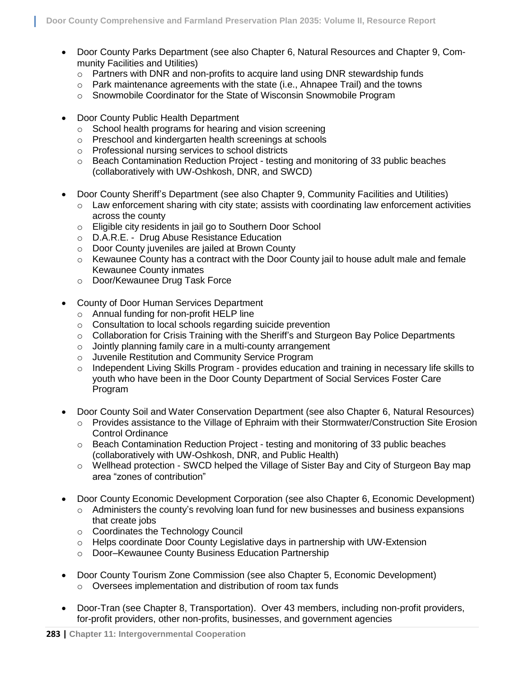- Door County Parks Department (see also Chapter 6, Natural Resources and Chapter 9, Community Facilities and Utilities)
	- $\circ$  Partners with DNR and non-profits to acquire land using DNR stewardship funds
	- o Park maintenance agreements with the state (i.e., Ahnapee Trail) and the towns
	- o Snowmobile Coordinator for the State of Wisconsin Snowmobile Program
- Door County Public Health Department
	- o School health programs for hearing and vision screening
	- o Preschool and kindergarten health screenings at schools
	- o Professional nursing services to school districts
	- $\circ$  Beach Contamination Reduction Project testing and monitoring of 33 public beaches (collaboratively with UW-Oshkosh, DNR, and SWCD)
- Door County Sheriff's Department (see also Chapter 9, Community Facilities and Utilities)
	- $\circ$  Law enforcement sharing with city state; assists with coordinating law enforcement activities across the county
	- o Eligible city residents in jail go to Southern Door School
	- o D.A.R.E. Drug Abuse Resistance Education
	- o Door County juveniles are jailed at Brown County
	- o Kewaunee County has a contract with the Door County jail to house adult male and female Kewaunee County inmates
	- o Door/Kewaunee Drug Task Force
- County of Door Human Services Department
	- o Annual funding for non-profit HELP line
	- o Consultation to local schools regarding suicide prevention
	- $\circ$  Collaboration for Crisis Training with the Sheriff's and Sturgeon Bay Police Departments
	- o Jointly planning family care in a multi-county arrangement
	- o Juvenile Restitution and Community Service Program
	- $\circ$  Independent Living Skills Program provides education and training in necessary life skills to youth who have been in the Door County Department of Social Services Foster Care Program
- Door County Soil and Water Conservation Department (see also Chapter 6, Natural Resources)
	- $\circ$  Provides assistance to the Village of Ephraim with their Stormwater/Construction Site Erosion Control Ordinance
	- $\circ$  Beach Contamination Reduction Project testing and monitoring of 33 public beaches (collaboratively with UW-Oshkosh, DNR, and Public Health)
	- o Wellhead protection SWCD helped the Village of Sister Bay and City of Sturgeon Bay map area "zones of contribution"
- Door County Economic Development Corporation (see also Chapter 6, Economic Development)
	- $\circ$  Administers the county's revolving loan fund for new businesses and business expansions that create jobs
	- o Coordinates the Technology Council
	- $\circ$  Helps coordinate Door County Legislative days in partnership with UW-Extension
	- o Door–Kewaunee County Business Education Partnership
- Door County Tourism Zone Commission (see also Chapter 5, Economic Development) o Oversees implementation and distribution of room tax funds
- Door-Tran (see Chapter 8, Transportation). Over 43 members, including non-profit providers, for-profit providers, other non-profits, businesses, and government agencies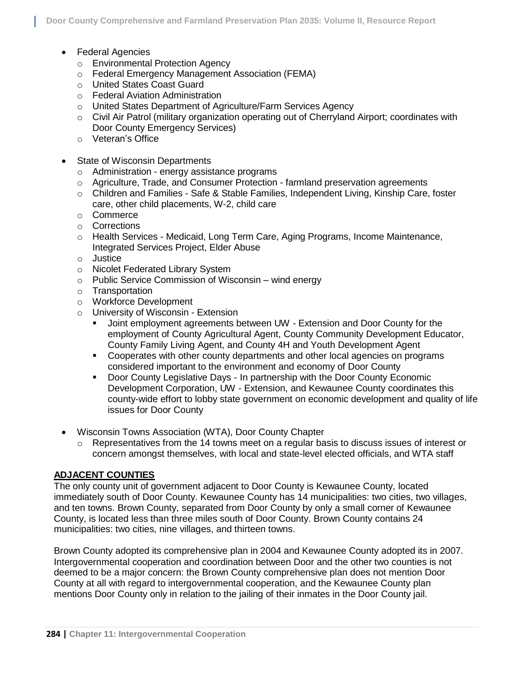- Federal Agencies
	- o Environmental Protection Agency
	- o Federal Emergency Management Association (FEMA)
	- o United States Coast Guard
	- o Federal Aviation Administration
	- o United States Department of Agriculture/Farm Services Agency
	- $\circ$  Civil Air Patrol (military organization operating out of Cherryland Airport; coordinates with Door County Emergency Services)
	- o Veteran's Office
- State of Wisconsin Departments
	- o Administration energy assistance programs
	- $\circ$  Agriculture, Trade, and Consumer Protection farmland preservation agreements
	- o Children and Families Safe & Stable Families, Independent Living, Kinship Care, foster care, other child placements, W-2, child care
	- o Commerce
	- o Corrections
	- o Health Services Medicaid, Long Term Care, Aging Programs, Income Maintenance, Integrated Services Project, Elder Abuse
	- o Justice
	- o Nicolet Federated Library System
	- $\circ$  Public Service Commission of Wisconsin wind energy
	- o Transportation
	- o Workforce Development
	- o University of Wisconsin Extension
		- Joint employment agreements between UW Extension and Door County for the employment of County Agricultural Agent, County Community Development Educator, County Family Living Agent, and County 4H and Youth Development Agent
		- Cooperates with other county departments and other local agencies on programs considered important to the environment and economy of Door County
		- Door County Legislative Days In partnership with the Door County Economic Development Corporation, UW - Extension, and Kewaunee County coordinates this county-wide effort to lobby state government on economic development and quality of life issues for Door County
- Wisconsin Towns Association (WTA), Door County Chapter
	- $\circ$  Representatives from the 14 towns meet on a regular basis to discuss issues of interest or concern amongst themselves, with local and state-level elected officials, and WTA staff

#### **ADJACENT COUNTIES**

The only county unit of government adjacent to Door County is Kewaunee County, located immediately south of Door County. Kewaunee County has 14 municipalities: two cities, two villages, and ten towns. Brown County, separated from Door County by only a small corner of Kewaunee County, is located less than three miles south of Door County. Brown County contains 24 municipalities: two cities, nine villages, and thirteen towns.

Brown County adopted its comprehensive plan in 2004 and Kewaunee County adopted its in 2007. Intergovernmental cooperation and coordination between Door and the other two counties is not deemed to be a major concern: the Brown County comprehensive plan does not mention Door County at all with regard to intergovernmental cooperation, and the Kewaunee County plan mentions Door County only in relation to the jailing of their inmates in the Door County jail.